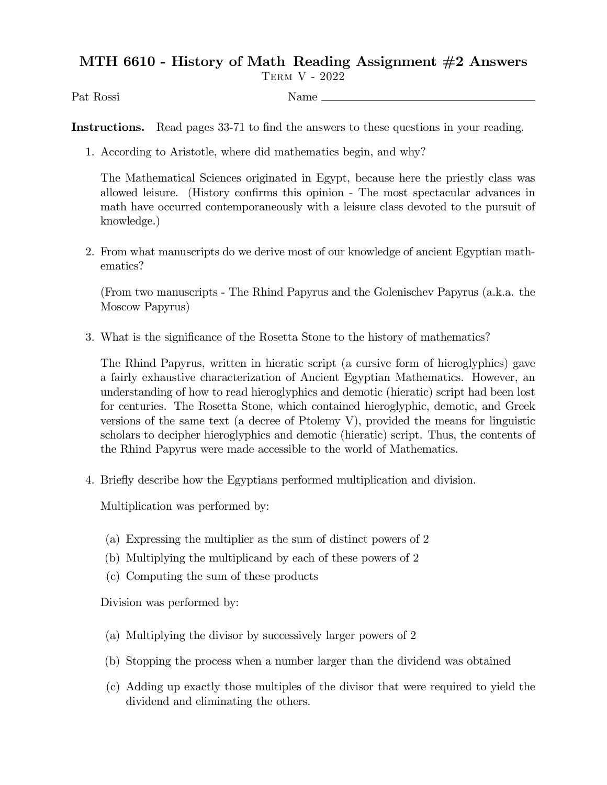## MTH 6610 - History of Math Reading Assignment #2 Answers

Term V - 2022

Pat Rossi Name

Instructions. Read pages 33-71 to find the answers to these questions in your reading.

1. According to Aristotle, where did mathematics begin, and why?

The Mathematical Sciences originated in Egypt, because here the priestly class was allowed leisure. (History confirms this opinion - The most spectacular advances in math have occurred contemporaneously with a leisure class devoted to the pursuit of knowledge.)

2. From what manuscripts do we derive most of our knowledge of ancient Egyptian mathematics?

(From two manuscripts - The Rhind Papyrus and the Golenischev Papyrus (a.k.a. the Moscow Papyrus)

3. What is the significance of the Rosetta Stone to the history of mathematics?

The Rhind Papyrus, written in hieratic script (a cursive form of hieroglyphics) gave a fairly exhaustive characterization of Ancient Egyptian Mathematics. However, an understanding of how to read hieroglyphics and demotic (hieratic) script had been lost for centuries. The Rosetta Stone, which contained hieroglyphic, demotic, and Greek versions of the same text (a decree of Ptolemy V), provided the means for linguistic scholars to decipher hieroglyphics and demotic (hieratic) script. Thus, the contents of the Rhind Papyrus were made accessible to the world of Mathematics.

4. Brieáy describe how the Egyptians performed multiplication and division.

Multiplication was performed by:

- (a) Expressing the multiplier as the sum of distinct powers of 2
- (b) Multiplying the multiplicand by each of these powers of 2
- (c) Computing the sum of these products

Division was performed by:

- (a) Multiplying the divisor by successively larger powers of 2
- (b) Stopping the process when a number larger than the dividend was obtained
- (c) Adding up exactly those multiples of the divisor that were required to yield the dividend and eliminating the others.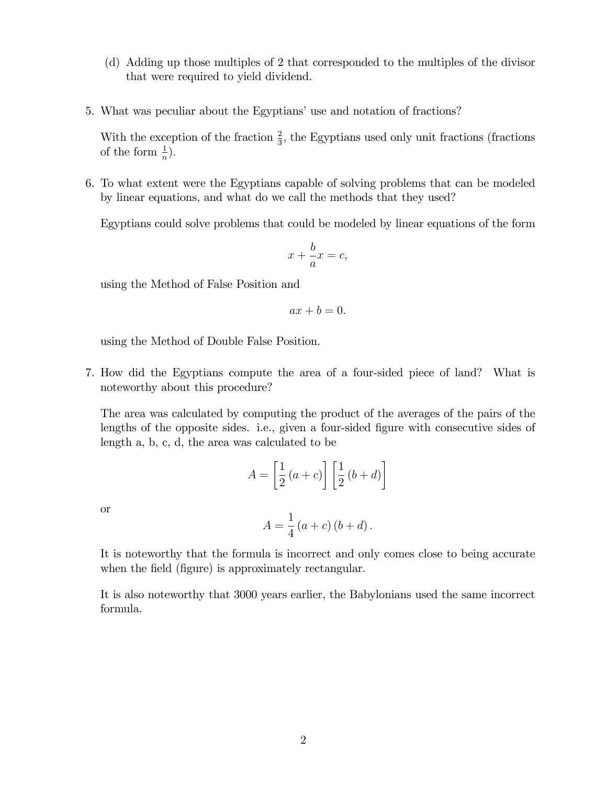- (d) Adding up those multiples of 2 that corresponded to the multiples of the divisor that were required to yield dividend.
- 5. What was peculiar about the Egyptians' use and notation of fractions?

With the exception of the fraction  $\frac{2}{3}$ , the Egyptians used only unit fractions (fractions of the form  $\frac{1}{n}$ ).

6. To what extent were the Egyptians capable of solving problems that can be modeled by linear equations, and what do we call the methods that they used?

Egyptians could solve problems that could be modeled by linear equations of the form

$$
x + \frac{b}{a}x = c,
$$

using the Method of False Position and

$$
ax + b = 0.
$$

using the Method of Double False Position.

7. How did the Egyptians compute the area of a four-sided piece of land? What is noteworthy about this procedure?

The area was calculated by computing the product of the averages of the pairs of the lengths of the opposite sides. i.e., given a four-sided figure with consecutive sides of length a, b, c, d, the area was calculated to be

$$
A = \left[\frac{1}{2}(a+c)\right] \left[\frac{1}{2}(b+d)\right]
$$

or

$$
A = \frac{1}{4} (a+c) (b+d).
$$

It is noteworthy that the formula is incorrect and only comes close to being accurate when the field (figure) is approximately rectangular.

It is also noteworthy that 3000 years earlier, the Babylonians used the same incorrect formula.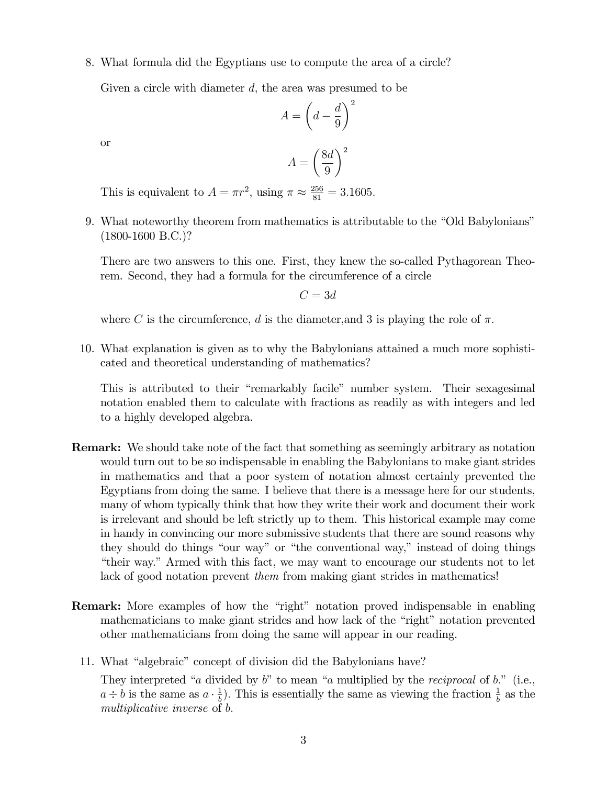## 8. What formula did the Egyptians use to compute the area of a circle?

Given a circle with diameter  $d$ , the area was presumed to be

$$
A = \left(d - \frac{d}{9}\right)^2
$$

or

$$
A = \left(\frac{8d}{9}\right)^2
$$

This is equivalent to  $A = \pi r^2$ , using  $\pi \approx \frac{256}{81} = 3.1605$ .

9. What noteworthy theorem from mathematics is attributable to the "Old Babylonians" (1800-1600 B.C.)?

There are two answers to this one. First, they knew the so-called Pythagorean Theorem. Second, they had a formula for the circumference of a circle

 $C = 3d$ 

where C is the circumference, d is the diameter, and 3 is playing the role of  $\pi$ .

10. What explanation is given as to why the Babylonians attained a much more sophisticated and theoretical understanding of mathematics?

This is attributed to their "remarkably facile" number system. Their sexagesimal notation enabled them to calculate with fractions as readily as with integers and led to a highly developed algebra.

- Remark: We should take note of the fact that something as seemingly arbitrary as notation would turn out to be so indispensable in enabling the Babylonians to make giant strides in mathematics and that a poor system of notation almost certainly prevented the Egyptians from doing the same. I believe that there is a message here for our students, many of whom typically think that how they write their work and document their work is irrelevant and should be left strictly up to them. This historical example may come in handy in convincing our more submissive students that there are sound reasons why they should do things "our way" or "the conventional way," instead of doing things "their way." Armed with this fact, we may want to encourage our students not to let lack of good notation prevent them from making giant strides in mathematics!
- **Remark:** More examples of how the "right" notation proved indispensable in enabling mathematicians to make giant strides and how lack of the "right" notation prevented other mathematicians from doing the same will appear in our reading.
	- 11. What "algebraic" concept of division did the Babylonians have?

They interpreted "a divided by  $b$ " to mean "a multiplied by the *reciprocal* of  $b$ ." (i.e.,  $a \div b$  is the same as  $a \cdot \frac{1}{b}$  $\frac{1}{b}$ ). This is essentially the same as viewing the fraction  $\frac{1}{b}$  as the multiplicative inverse of b.